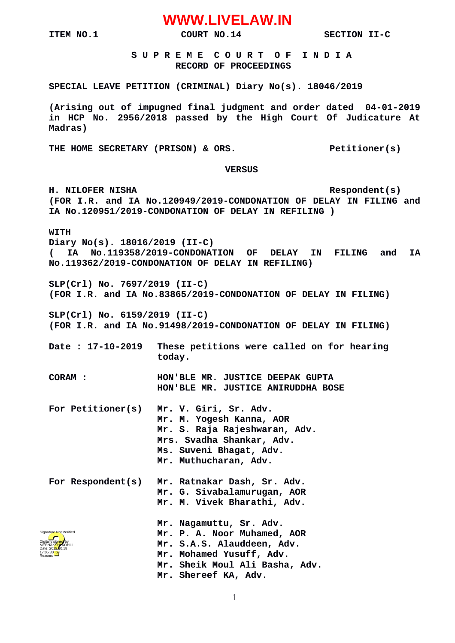# **WWW.LIVELAW.IN**

**ITEM NO.1 COURT NO.14 COURT NO.14 SECTION II-C** 

 **S U P R E M E C O U R T O F I N D I A RECORD OF PROCEEDINGS**

#### **SPECIAL LEAVE PETITION (CRIMINAL) Diary No(s). 18046/2019**

**(Arising out of impugned final judgment and order dated 04-01-2019 in HCP No. 2956/2018 passed by the High Court Of Judicature At Madras)**

THE HOME SECRETARY (PRISON) & ORS. Petitioner(s)

#### **VERSUS**

**H. NILOFER NISHA Respondent(s) (FOR I.R. and IA No.120949/2019-CONDONATION OF DELAY IN FILING and IA No.120951/2019-CONDONATION OF DELAY IN REFILING )**

**WITH**

**Diary No(s). 18016/2019 (II-C)**

**( IA No.119358/2019-CONDONATION OF DELAY IN FILING and IA No.119362/2019-CONDONATION OF DELAY IN REFILING)**

**SLP(Crl) No. 7697/2019 (II-C) (FOR I.R. and IA No.83865/2019-CONDONATION OF DELAY IN FILING)**

**SLP(Crl) No. 6159/2019 (II-C)**

**(FOR I.R. and IA No.91498/2019-CONDONATION OF DELAY IN FILING)**

- **Date : 17-10-2019 These petitions were called on for hearing today.**
- **CORAM : HON'BLE MR. JUSTICE DEEPAK GUPTA HON'BLE MR. JUSTICE ANIRUDDHA BOSE**
- **For Petitioner(s) Mr. V. Giri, Sr. Adv. Mr. M. Yogesh Kanna, AOR Mr. S. Raja Rajeshwaran, Adv. Mrs. Svadha Shankar, Adv. Ms. Suveni Bhagat, Adv. Mr. Muthucharan, Adv.**
- For Respondent(s) **For Respondent(s) Mr. Ratnakar Dash, Sr. Adv. Mr. G. Sivabalamurugan, AOR Mr. M. Vivek Bharathi, Adv. Mr. Nagamuttu, Sr. Adv.**
- **Mr. P. A. Noor Muhamed, AOR Mr. S.A.S. Alauddeen, Adv. Mr. Mohamed Yusuff, Adv. Mr. Sheik Moul Ali Basha, Adv. Mr. Shereef KA, Adv.** Digitally signed by MEENAK<mark>SH</mark>AKOHLI Date: 2010.18 17:05:30<sup>1ST</sup> Reason: Signature Not Verified